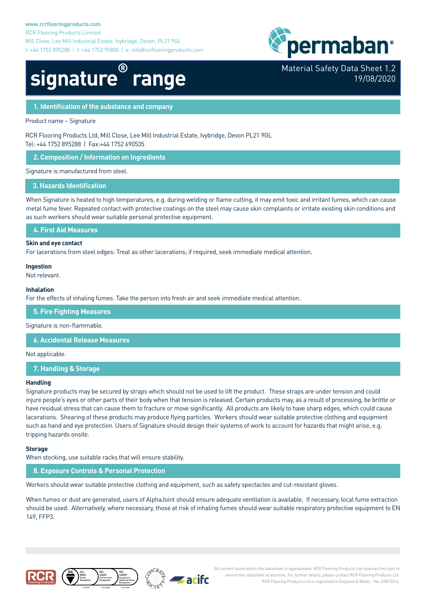

Material Safety Data Sheet 1.2

19/08/2020

# **signature® range**

# **1. Identification of the substance and company**

Product name – Signature

RCR Flooring Products Ltd, Mill Close, Lee Mill Industrial Estate, Ivybridge, Devon PL21 9GL Tel: +44 1752 895288 | Fax:+44 1752 690535

**2. Composition / Information on Ingredients**

Signature is manufactured from steel.

#### **3. Hazards Identification**

When Signature is heated to high temperatures, e.g. during welding or flame cutting, it may emit toxic and irritant fumes, which can cause metal fume fever. Repeated contact with protective coatings on the steel may cause skin complaints or irritate existing skin conditions and as such workers should wear suitable personal protective equipment.

**4. First Aid Measures**

#### **Skin and eye contact**

For lacerations from steel edges: Treat as other lacerations; if required, seek immediate medical attention.

#### **Ingestion**

Not relevant.

#### **Inhalation**

For the effects of inhaling fumes: Take the person into fresh air and seek immediate medical attention.

**5. Fire Fighting Measures**

Signature is non-flammable.

**6. Accidental Release Measures**

Not applicable.

**7. Handling & Storage**

#### **Handling**

Signature products may be secured by straps which should not be used to lift the product. These straps are under tension and could injure people's eyes or other parts of their body when that tension is released. Certain products may, as a result of processing, be brittle or have residual stress that can cause them to fracture or move significantly. All products are likely to have sharp edges, which could cause lacerations. Shearing of these products may produce flying particles. Workers should wear suitable protective clothing and equipment such as hand and eye protection. Users of Signature should design their systems of work to account for hazards that might arise, e.g. tripping hazards onsite.

#### **Storage**

When stocking, use suitable racks that will ensure stability.

**8. Exposure Controls & Personal Protection**

Workers should wear suitable protective clothing and equipment, such as safety spectacles and cut-resistant gloves.

When fumes or dust are generated, users of AlphaJoint should ensure adequate ventilation is available. If necessary, local fume extraction should be used. Alternatively, where necessary, those at risk of inhaling fumes should wear suitable respiratory protective equipment to EN 149, FFP3.







All content found within this datasheet is approximate. RCR Flooring Products Ltd reserves the right to amend this datasheet at any time. For further details, please contact RCR Flooring Products Ltd. RCR Flooring Products Ltd is registered in England & Wales - No. 02815314.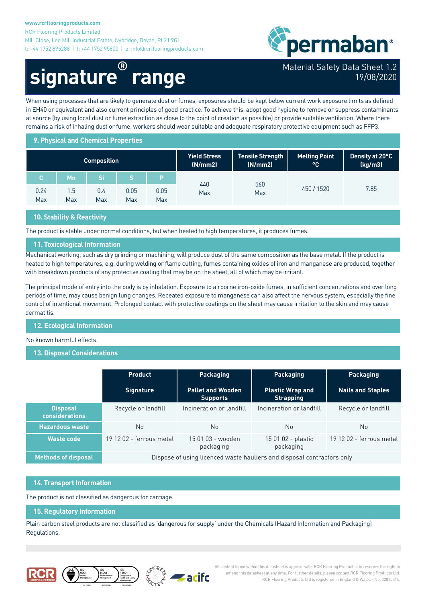#### **www.rcrflooringproducts.com**

RCR Flooring Products Limited Mill Close, Lee Mill Industrial Estate, Ivybridge, Devon, PL21 9GL t: +44 1752 895288 | f: +44 1752 95800 | e: info@rcrflooringproducts.com



# **signature® range**

# Material Safety Data Sheet 1.2 19/08/2020

When using processes that are likely to generate dust or fumes, exposures should be kept below current work exposure limits as defined in EH40 or equivalent and also current principles of good practice. To achieve this, adopt good hygiene to remove or suppress contaminants at source (by using local dust or fume extraction as close to the point of creation as possible) or provide suitable ventilation. Where there remains a risk of inhaling dust or fume, workers should wear suitable and adequate respiratory protective equipment such as FFP3.

### **9. Physical and Chemical Properties**

| <b>Composition</b> |            |            |             |             | Yield Stress<br>(N/mm 2) | <b>Tensile Strength</b><br>(N/mm 2) | <b>Melting Point</b><br>l <sub>o</sub> C, | Density at 20°C<br>(kg/m3) |
|--------------------|------------|------------|-------------|-------------|--------------------------|-------------------------------------|-------------------------------------------|----------------------------|
| С.                 | Mn         |            |             |             |                          |                                     | 450 / 1520                                | 7.85                       |
| 0.24<br>Max        | 1.5<br>Max | 0.4<br>Max | 0.05<br>Max | 0.05<br>Max | 440<br>Max               | 560<br>Max                          |                                           |                            |

# **10. Stability & Reactivity**

The product is stable under normal conditions, but when heated to high temperatures, it produces fumes.

# **11. Toxicological Information**

Mechanical working, such as dry grinding or machining, will produce dust of the same composition as the base metal. If the product is heated to high temperatures, e.g. during welding or flame cutting, fumes containing oxides of iron and manganese are produced, together with breakdown products of any protective coating that may be on the sheet, all of which may be irritant.

The principal mode of entry into the body is by inhalation. Exposure to airborne iron-oxide fumes, in sufficient concentrations and over long periods of time, may cause benign lung changes. Repeated exposure to manganese can also affect the nervous system, especially the fine control of intentional movement. Prolonged contact with protective coatings on the sheet may cause irritation to the skin and may cause dermatitis.

### **12. Ecological Information**

#### No known harmful effects.

### **13. Disposal Considerations**

|                                          | <b>Product</b>                                                         | <b>Packaging</b>                            | <b>Packaging</b>                            | <b>Packaging</b>         |  |  |
|------------------------------------------|------------------------------------------------------------------------|---------------------------------------------|---------------------------------------------|--------------------------|--|--|
|                                          | <b>Signature</b>                                                       | <b>Pallet and Wooden</b><br><b>Supports</b> | <b>Plastic Wrap and</b><br><b>Strapping</b> | <b>Nails and Staples</b> |  |  |
| <b>Disposal</b><br><b>considerations</b> | Recycle or landfill                                                    | Incineration or landfill                    | Incineration or landfill                    | Recycle or landfill      |  |  |
| <b>Hazardous waste</b>                   | <b>No</b>                                                              | No                                          | <b>No</b>                                   | No.                      |  |  |
| <b>Waste code</b>                        | 19 12 02 - ferrous metal                                               | 15 01 03 - wooden<br>packaging              | 15 01 02 - plastic<br>packaging             | 19 12 02 - ferrous metal |  |  |
| <b>Methods of disposal</b>               | Dispose of using licenced waste hauliers and disposal contractors only |                                             |                                             |                          |  |  |

#### **14. Transport Information**

The product is not classified as dangerous for carriage.

#### **15. Regulatory Information**

Plain carbon steel products are not classified as 'dangerous for supply' under the Chemicals (Hazard Information and Packaging) Regulations.







All content found within this datasheet is approximate. RCR Flooring Products Ltd reserves the right to amend this datasheet at any time. For further details, please contact RCR Flooring Products Ltd. RCR Flooring Products Ltd is registered in England & Wales - No. 02815314.